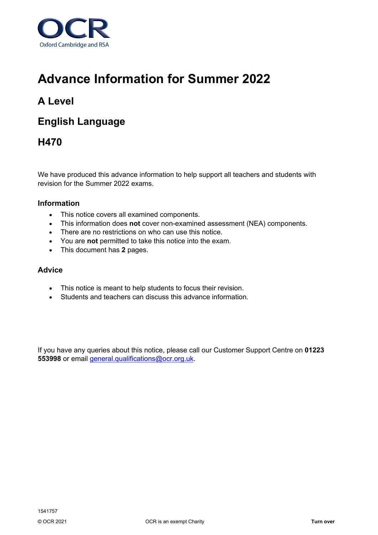

# **Advance Information for Summer 2022**

## **A Level**

### **English Language**

### **H470**

We have produced this advance information to help support all teachers and students with revision for the Summer 2022 exams.

#### **Information**

- This notice covers all examined components.
- This information does **not** cover non-examined assessment (NEA) components.
- There are no restrictions on who can use this notice.
- You are **not** permitted to take this notice into the exam.
- This document has **2** pages.

### **Advice**

- This notice is meant to help students to focus their revision.
- Students and teachers can discuss this advance information.

If you have any queries about this notice, please call our Customer Support Centre on **01223 553998** or email [general.qualifications@ocr.org.uk.](mailto:general.qualifications@ocr.org.uk)